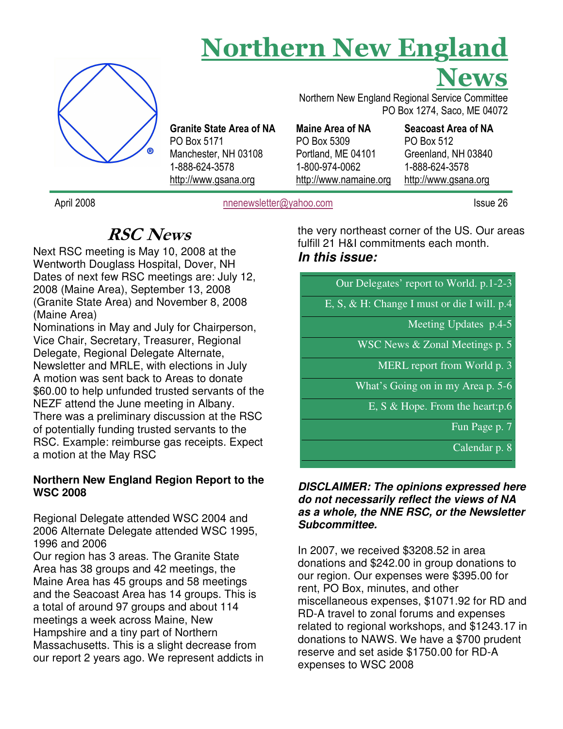# Northern New England



Granite State Area of NA PO Box 5171 Manchester, NH 03108 1-888-624-3578 http://www.gsana.org

Northern New England Regional Service Committee PO Box 1274, Saco, ME 04072

Maine Area of NA PO Box 5309 Portland, ME 04101 1-800-974-0062 http://www.namaine.org

Seacoast Area of NA PO Box 512 Greenland, NH 03840 1-888-624-3578 http://www.gsana.org

April 2008 **nnenewsletter@yahoo.com** Issue 26

News

# RSC News

Next RSC meeting is May 10, 2008 at the Wentworth Douglass Hospital, Dover, NH Dates of next few RSC meetings are: July 12, 2008 (Maine Area), September 13, 2008 (Granite State Area) and November 8, 2008 (Maine Area)

Nominations in May and July for Chairperson, Vice Chair, Secretary, Treasurer, Regional Delegate, Regional Delegate Alternate, Newsletter and MRLE, with elections in July A motion was sent back to Areas to donate \$60.00 to help unfunded trusted servants of the NEZF attend the June meeting in Albany. There was a preliminary discussion at the RSC of potentially funding trusted servants to the RSC. Example: reimburse gas receipts. Expect a motion at the May RSC

# **Northern New England Region Report to the WSC 2008**

Regional Delegate attended WSC 2004 and 2006 Alternate Delegate attended WSC 1995, 1996 and 2006

Our region has 3 areas. The Granite State Area has 38 groups and 42 meetings, the Maine Area has 45 groups and 58 meetings and the Seacoast Area has 14 groups. This is a total of around 97 groups and about 114 meetings a week across Maine, New Hampshire and a tiny part of Northern Massachusetts. This is a slight decrease from our report 2 years ago. We represent addicts in the very northeast corner of the US. Our areas fulfill 21 H&I commitments each month. **In this issue:** 

| Our Deregates report to world, $p_{11} - p_{2}$                         |
|-------------------------------------------------------------------------|
| $\overline{E}$ , $\overline{S}$ , & H: Change I must or die I will. p.4 |
| Meeting Updates p.4-5                                                   |
| WSC News $&$ Zonal Meetings p. 5                                        |
| MERL report from World p. 3                                             |
| What's Going on in my Area p. 5-6                                       |
| E, S $\&$ Hope. From the heart: p.6                                     |

Our Delegates' report to World. p.1-2-3

Fun Page p. 7

Calendar p. 8

#### **DISCLAIMER: The opinions expressed here do not necessarily reflect the views of NA as a whole, the NNE RSC, or the Newsletter Subcommittee.**

In 2007, we received \$3208.52 in area donations and \$242.00 in group donations to our region. Our expenses were \$395.00 for rent, PO Box, minutes, and other miscellaneous expenses, \$1071.92 for RD and RD-A travel to zonal forums and expenses related to regional workshops, and \$1243.17 in donations to NAWS. We have a \$700 prudent reserve and set aside \$1750.00 for RD-A expenses to WSC 2008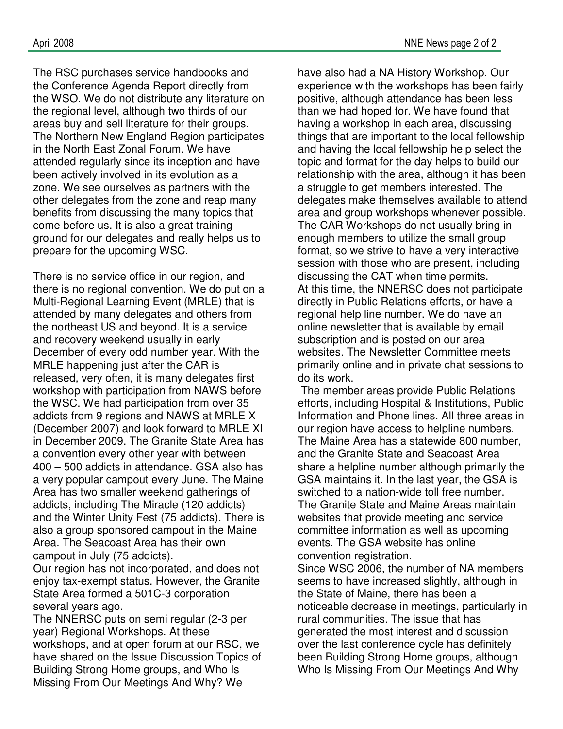The RSC purchases service handbooks and the Conference Agenda Report directly from the WSO. We do not distribute any literature on the regional level, although two thirds of our areas buy and sell literature for their groups. The Northern New England Region participates in the North East Zonal Forum. We have attended regularly since its inception and have been actively involved in its evolution as a zone. We see ourselves as partners with the other delegates from the zone and reap many benefits from discussing the many topics that come before us. It is also a great training ground for our delegates and really helps us to prepare for the upcoming WSC.

There is no service office in our region, and there is no regional convention. We do put on a Multi-Regional Learning Event (MRLE) that is attended by many delegates and others from the northeast US and beyond. It is a service and recovery weekend usually in early December of every odd number year. With the MRLE happening just after the CAR is released, very often, it is many delegates first workshop with participation from NAWS before the WSC. We had participation from over 35 addicts from 9 regions and NAWS at MRLE X (December 2007) and look forward to MRLE XI in December 2009. The Granite State Area has a convention every other year with between 400 – 500 addicts in attendance. GSA also has a very popular campout every June. The Maine Area has two smaller weekend gatherings of addicts, including The Miracle (120 addicts) and the Winter Unity Fest (75 addicts). There is also a group sponsored campout in the Maine Area. The Seacoast Area has their own campout in July (75 addicts).

Our region has not incorporated, and does not enjoy tax-exempt status. However, the Granite State Area formed a 501C-3 corporation several years ago.

The NNERSC puts on semi regular (2-3 per year) Regional Workshops. At these workshops, and at open forum at our RSC, we have shared on the Issue Discussion Topics of Building Strong Home groups, and Who Is Missing From Our Meetings And Why? We

have also had a NA History Workshop. Our experience with the workshops has been fairly positive, although attendance has been less than we had hoped for. We have found that having a workshop in each area, discussing things that are important to the local fellowship and having the local fellowship help select the topic and format for the day helps to build our relationship with the area, although it has been a struggle to get members interested. The delegates make themselves available to attend area and group workshops whenever possible. The CAR Workshops do not usually bring in enough members to utilize the small group format, so we strive to have a very interactive session with those who are present, including discussing the CAT when time permits. At this time, the NNERSC does not participate directly in Public Relations efforts, or have a regional help line number. We do have an online newsletter that is available by email subscription and is posted on our area websites. The Newsletter Committee meets primarily online and in private chat sessions to do its work.

 The member areas provide Public Relations efforts, including Hospital & Institutions, Public Information and Phone lines. All three areas in our region have access to helpline numbers. The Maine Area has a statewide 800 number, and the Granite State and Seacoast Area share a helpline number although primarily the GSA maintains it. In the last year, the GSA is switched to a nation-wide toll free number. The Granite State and Maine Areas maintain websites that provide meeting and service committee information as well as upcoming events. The GSA website has online convention registration.

Since WSC 2006, the number of NA members seems to have increased slightly, although in the State of Maine, there has been a noticeable decrease in meetings, particularly in rural communities. The issue that has generated the most interest and discussion over the last conference cycle has definitely been Building Strong Home groups, although Who Is Missing From Our Meetings And Why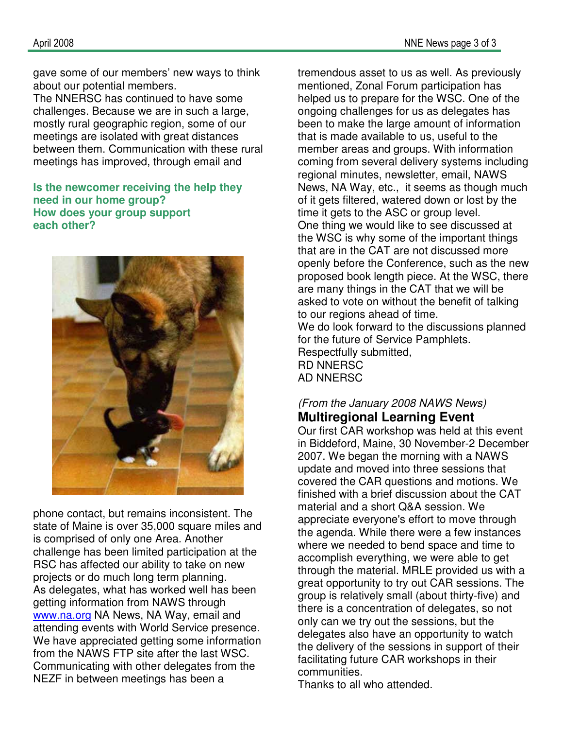gave some of our members' new ways to think about our potential members.

The NNERSC has continued to have some challenges. Because we are in such a large, mostly rural geographic region, some of our meetings are isolated with great distances between them. Communication with these rural meetings has improved, through email and

#### **Is the newcomer receiving the help they need in our home group? How does your group support each other?**



phone contact, but remains inconsistent. The state of Maine is over 35,000 square miles and is comprised of only one Area. Another challenge has been limited participation at the RSC has affected our ability to take on new projects or do much long term planning. As delegates, what has worked well has been getting information from NAWS through www.na.org NA News, NA Way, email and attending events with World Service presence. We have appreciated getting some information from the NAWS FTP site after the last WSC. Communicating with other delegates from the NEZF in between meetings has been a

tremendous asset to us as well. As previously mentioned, Zonal Forum participation has helped us to prepare for the WSC. One of the ongoing challenges for us as delegates has been to make the large amount of information that is made available to us, useful to the member areas and groups. With information coming from several delivery systems including regional minutes, newsletter, email, NAWS News, NA Way, etc., it seems as though much of it gets filtered, watered down or lost by the time it gets to the ASC or group level. One thing we would like to see discussed at the WSC is why some of the important things that are in the CAT are not discussed more openly before the Conference, such as the new proposed book length piece. At the WSC, there are many things in the CAT that we will be asked to vote on without the benefit of talking to our regions ahead of time. We do look forward to the discussions planned for the future of Service Pamphlets. Respectfully submitted, RD NNERSC AD NNERSC

# (From the January 2008 NAWS News)

# **Multiregional Learning Event**

Our first CAR workshop was held at this event in Biddeford, Maine, 30 November-2 December 2007. We began the morning with a NAWS update and moved into three sessions that covered the CAR questions and motions. We finished with a brief discussion about the CAT material and a short Q&A session. We appreciate everyone's effort to move through the agenda. While there were a few instances where we needed to bend space and time to accomplish everything, we were able to get through the material. MRLE provided us with a great opportunity to try out CAR sessions. The group is relatively small (about thirty-five) and there is a concentration of delegates, so not only can we try out the sessions, but the delegates also have an opportunity to watch the delivery of the sessions in support of their facilitating future CAR workshops in their communities.

Thanks to all who attended.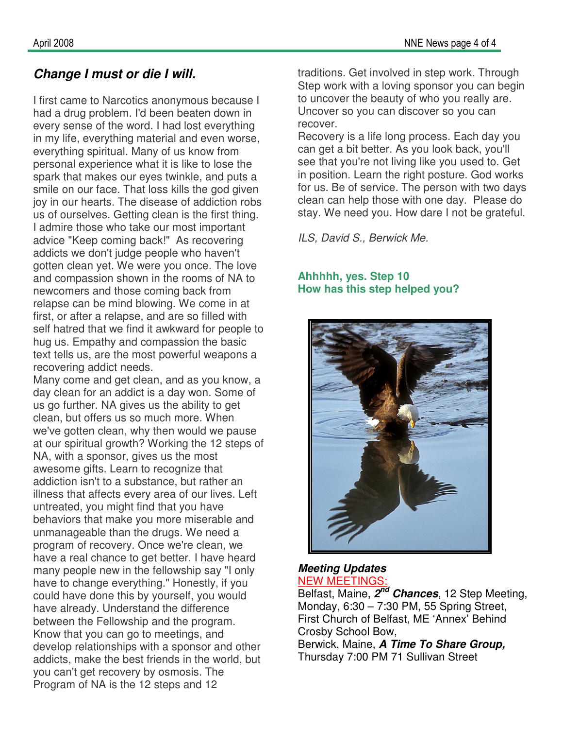# **Change I must or die I will.**

I first came to Narcotics anonymous because I had a drug problem. I'd been beaten down in every sense of the word. I had lost everything in my life, everything material and even worse, everything spiritual. Many of us know from personal experience what it is like to lose the spark that makes our eyes twinkle, and puts a smile on our face. That loss kills the god given joy in our hearts. The disease of addiction robs us of ourselves. Getting clean is the first thing. I admire those who take our most important advice "Keep coming back!" As recovering addicts we don't judge people who haven't gotten clean yet. We were you once. The love and compassion shown in the rooms of NA to newcomers and those coming back from relapse can be mind blowing. We come in at first, or after a relapse, and are so filled with self hatred that we find it awkward for people to hug us. Empathy and compassion the basic text tells us, are the most powerful weapons a recovering addict needs.

Many come and get clean, and as you know, a day clean for an addict is a day won. Some of us go further. NA gives us the ability to get clean, but offers us so much more. When we've gotten clean, why then would we pause at our spiritual growth? Working the 12 steps of NA, with a sponsor, gives us the most awesome gifts. Learn to recognize that addiction isn't to a substance, but rather an illness that affects every area of our lives. Left untreated, you might find that you have behaviors that make you more miserable and unmanageable than the drugs. We need a program of recovery. Once we're clean, we have a real chance to get better. I have heard many people new in the fellowship say "I only have to change everything." Honestly, if you could have done this by yourself, you would have already. Understand the difference between the Fellowship and the program. Know that you can go to meetings, and develop relationships with a sponsor and other addicts, make the best friends in the world, but you can't get recovery by osmosis. The Program of NA is the 12 steps and 12

traditions. Get involved in step work. Through Step work with a loving sponsor you can begin to uncover the beauty of who you really are. Uncover so you can discover so you can recover.

Recovery is a life long process. Each day you can get a bit better. As you look back, you'll see that you're not living like you used to. Get in position. Learn the right posture. God works for us. Be of service. The person with two days clean can help those with one day. Please do stay. We need you. How dare I not be grateful.

ILS, David S., Berwick Me.

#### **Ahhhhh, yes. Step 10 How has this step helped you?**



#### **Meeting Updates**  NEW MEETINGS:

Belfast, Maine, **2 nd Chances**, 12 Step Meeting, Monday, 6:30 – 7:30 PM, 55 Spring Street, First Church of Belfast, ME 'Annex' Behind Crosby School Bow,

Berwick, Maine, **A Time To Share Group,**  Thursday 7:00 PM 71 Sullivan Street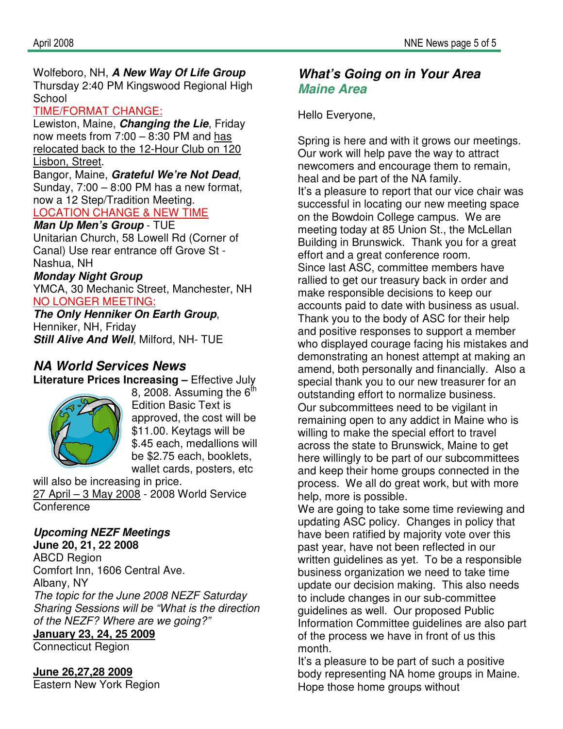## Wolfeboro, NH, **A New Way Of Life Group**  Thursday 2:40 PM Kingswood Regional High School

#### TIME/FORMAT CHANGE:

Lewiston, Maine, **Changing the Lie**, Friday now meets from 7:00 – 8:30 PM and has relocated back to the 12-Hour Club on 120 Lisbon, Street.

Bangor, Maine, **Grateful We're Not Dead**, Sunday, 7:00 – 8:00 PM has a new format, now a 12 Step/Tradition Meeting.

# LOCATION CHANGE & NEW TIME

**Man Up Men's Group** - TUE Unitarian Church, 58 Lowell Rd (Corner of Canal) Use rear entrance off Grove St - Nashua, NH

# **Monday Night Group**

YMCA, 30 Mechanic Street, Manchester, NH NO LONGER MEETING:

## **The Only Henniker On Earth Group**,

Henniker, NH, Friday **Still Alive And Well**, Milford, NH- TUE

## **NA World Services News Literature Prices Increasing –** Effective July



8, 2008. Assuming the  $6<sup>th</sup>$ Edition Basic Text is approved, the cost will be \$11.00. Keytags will be \$.45 each, medallions will be \$2.75 each, booklets, wallet cards, posters, etc

will also be increasing in price. 27 April – 3 May 2008 - 2008 World Service **Conference** 

# **Upcoming NEZF Meetings**

**June 20, 21, 22 2008**  ABCD Region Comfort Inn, 1606 Central Ave. Albany, NY The topic for the June 2008 NEZF Saturday Sharing Sessions will be "What is the direction of the NEZF? Where are we going?"

#### **January 23, 24, 25 2009**

Connecticut Region

# **June 26,27,28 2009**

Eastern New York Region

# **What's Going on in Your Area Maine Area**

Hello Everyone,

Spring is here and with it grows our meetings. Our work will help pave the way to attract newcomers and encourage them to remain, heal and be part of the NA family. It's a pleasure to report that our vice chair was successful in locating our new meeting space on the Bowdoin College campus. We are meeting today at 85 Union St., the McLellan Building in Brunswick. Thank you for a great effort and a great conference room. Since last ASC, committee members have rallied to get our treasury back in order and make responsible decisions to keep our accounts paid to date with business as usual. Thank you to the body of ASC for their help and positive responses to support a member who displayed courage facing his mistakes and demonstrating an honest attempt at making an amend, both personally and financially. Also a special thank you to our new treasurer for an outstanding effort to normalize business. Our subcommittees need to be vigilant in remaining open to any addict in Maine who is willing to make the special effort to travel across the state to Brunswick, Maine to get here willingly to be part of our subcommittees and keep their home groups connected in the process. We all do great work, but with more help, more is possible.

We are going to take some time reviewing and updating ASC policy. Changes in policy that have been ratified by majority vote over this past year, have not been reflected in our written guidelines as yet. To be a responsible business organization we need to take time update our decision making. This also needs to include changes in our sub-committee guidelines as well. Our proposed Public Information Committee guidelines are also part of the process we have in front of us this month.

It's a pleasure to be part of such a positive body representing NA home groups in Maine. Hope those home groups without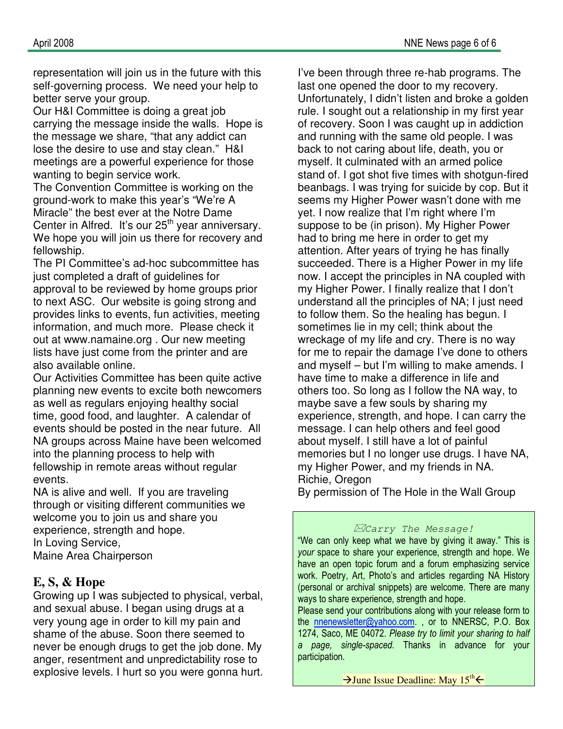representation will join us in the future with this self-governing process. We need your help to better serve your group.

Our H&I Committee is doing a great job carrying the message inside the walls. Hope is the message we share, "that any addict can lose the desire to use and stay clean." H&I meetings are a powerful experience for those wanting to begin service work.

The Convention Committee is working on the ground-work to make this year's "We're A Miracle" the best ever at the Notre Dame Center in Alfred. It's our  $25<sup>th</sup>$  year anniversary. We hope you will join us there for recovery and fellowship.

The PI Committee's ad-hoc subcommittee has just completed a draft of guidelines for approval to be reviewed by home groups prior to next ASC. Our website is going strong and provides links to events, fun activities, meeting information, and much more. Please check it out at www.namaine.org . Our new meeting lists have just come from the printer and are also available online.

Our Activities Committee has been quite active planning new events to excite both newcomers as well as regulars enjoying healthy social time, good food, and laughter. A calendar of events should be posted in the near future. All NA groups across Maine have been welcomed into the planning process to help with fellowship in remote areas without regular events.

NA is alive and well. If you are traveling through or visiting different communities we welcome you to join us and share you experience, strength and hope. In Loving Service, Maine Area Chairperson

# **E, S, & Hope**

Growing up I was subjected to physical, verbal, and sexual abuse. I began using drugs at a very young age in order to kill my pain and shame of the abuse. Soon there seemed to never be enough drugs to get the job done. My anger, resentment and unpredictability rose to explosive levels. I hurt so you were gonna hurt.

I've been through three re-hab programs. The last one opened the door to my recovery. Unfortunately, I didn't listen and broke a golden rule. I sought out a relationship in my first year of recovery. Soon I was caught up in addiction and running with the same old people. I was back to not caring about life, death, you or myself. It culminated with an armed police stand of. I got shot five times with shotgun-fired beanbags. I was trying for suicide by cop. But it seems my Higher Power wasn't done with me yet. I now realize that I'm right where I'm suppose to be (in prison). My Higher Power had to bring me here in order to get my attention. After years of trying he has finally succeeded. There is a Higher Power in my life now. I accept the principles in NA coupled with my Higher Power. I finally realize that I don't understand all the principles of NA; I just need to follow them. So the healing has begun. I sometimes lie in my cell; think about the wreckage of my life and cry. There is no way for me to repair the damage I've done to others and myself – but I'm willing to make amends. I have time to make a difference in life and others too. So long as I follow the NA way, to maybe save a few souls by sharing my experience, strength, and hope. I can carry the message. I can help others and feel good about myself. I still have a lot of painful memories but I no longer use drugs. I have NA, my Higher Power, and my friends in NA. Richie, Oregon By permission of The Hole in the Wall Group

## Carry The Message!

"We can only keep what we have by giving it away." This is your space to share your experience, strength and hope. We have an open topic forum and a forum emphasizing service work. Poetry, Art, Photo's and articles regarding NA History (personal or archival snippets) are welcome. There are many ways to share experience, strength and hope.

Please send your contributions along with your release form to the nnenewsletter@yahoo.com. , or to NNERSC, P.O. Box 1274, Saco, ME 04072. Please try to limit your sharing to half a page, single-spaced. Thanks in advance for your participation.

 $\rightarrow$  June Issue Deadline: May 15<sup>th</sup>  $\leftarrow$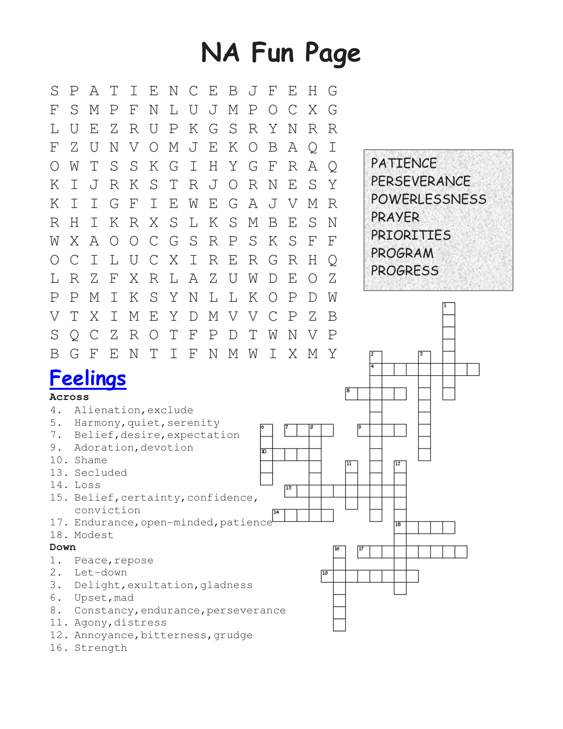# NA Fun Page



16. Strength